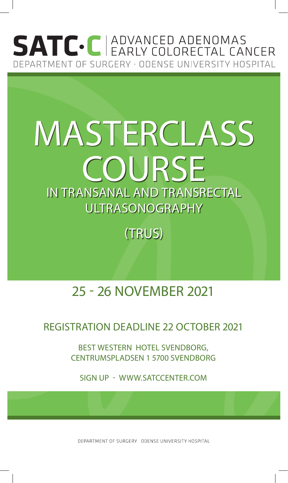## **SATC** C **ADVANCED ADENOMAS** DEPARTMENT OF SURGERY · ODENSE UNIVERSITY HOSPITAL

# MASTERCLASS COURSE IN TRANSANAL AND TRANSRECTAL ULTRASONOGRAPHY

(TRUS)

### 25 - 26 NOVEMBER 2021

#### REGISTRATION DEADLINE 22 OCTOBER 2021

BEST WESTERN HOTEL SVENDBORG, CENTRUMSPLADSEN 1 5700 SVENDBORG

SIGN UP - WWW.SATCCENTER.COM

DEPARTMENT OF SURGERY ODENSE UNIVERSITY HOSPITAL